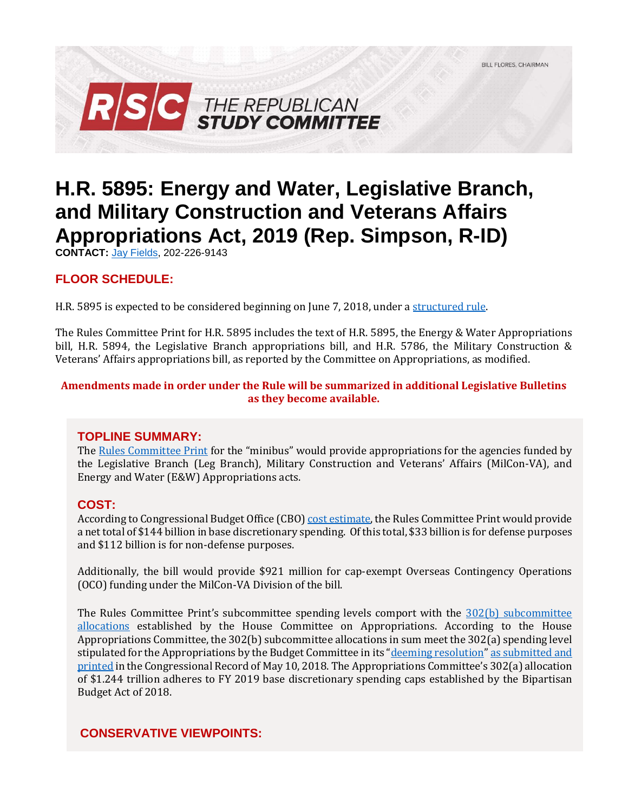

# **H.R. 5895: Energy and Water, Legislative Branch, and Military Construction and Veterans Affairs Appropriations Act, 2019 (Rep. Simpson, R-ID)**

**CONTACT:** [Jay Fields,](mailto:jay.fields@mail.house.gov) 202-226-9143

# **FLOOR SCHEDULE:**

H.R. 5895 is expected to be considered beginning on June 7, 2018, under [a structured rule.](https://rules.house.gov/bill/115/hr-5895)

The Rules Committee Print for H.R. 5895 includes the text of H.R. 5895, the Energy & Water Appropriations bill, H.R. 5894, the Legislative Branch appropriations bill, and H.R. 5786, the Military Construction & Veterans' Affairs appropriations bill, as reported by the Committee on Appropriations, as modified.

#### **Amendments made in order under the Rule will be summarized in additional Legislative Bulletins as they become available.**

#### **TOPLINE SUMMARY:**

The [Rules Committee Print](https://docs.house.gov/billsthisweek/20180604/BILLS-%20115HR5895HR5894HR5786-RCP115-71.pdf) for the "minibus" would provide appropriations for the agencies funded by the Legislative Branch (Leg Branch), Military Construction and Veterans' Affairs (MilCon-VA), and Energy and Water (E&W) Appropriations acts.

#### **COST:**

According to Congressional Budget Office (CBO) [cost estimate,](https://www.cbo.gov/system/files/115th-congress-2017-2018/costestimate/rcp115-71.pdf) the Rules Committee Print would provide a net total of \$144 billion in base discretionary spending. Of this total, \$33 billion is for defense purposes and \$112 billion is for non-defense purposes.

Additionally, the bill would provide \$921 million for cap-exempt Overseas Contingency Operations (OCO) funding under the MilCon-VA Division of the bill.

The Rules Committee Print's subcommittee spending levels comport with the [302\(b\) subcommittee](https://appropriations.house.gov/uploadedfiles/hrpt-115-fy2019_302b_report.pdf)  [allocations](https://appropriations.house.gov/uploadedfiles/hrpt-115-fy2019_302b_report.pdf) established by the House Committee on Appropriations. According to the House Appropriations Committee, the 302(b) subcommittee allocations in sum meet the 302(a) spending level stipulated for the Appropriations by the Budget Committee in its "[deeming resolution](https://fas.org/sgp/crs/misc/R44296.pdf)" [as submitted](https://www.congress.gov/crec/2018/05/10/CREC-2018-05-10-pt1-PgH3926.pdf) and [printed](https://www.congress.gov/crec/2018/05/10/CREC-2018-05-10-pt1-PgH3926.pdf) in the Congressional Record of May 10, 2018. The Appropriations Committee's 302(a) allocation of \$1.244 trillion adheres to FY 2019 base discretionary spending caps established by the Bipartisan Budget Act of 2018.

# **CONSERVATIVE VIEWPOINTS:**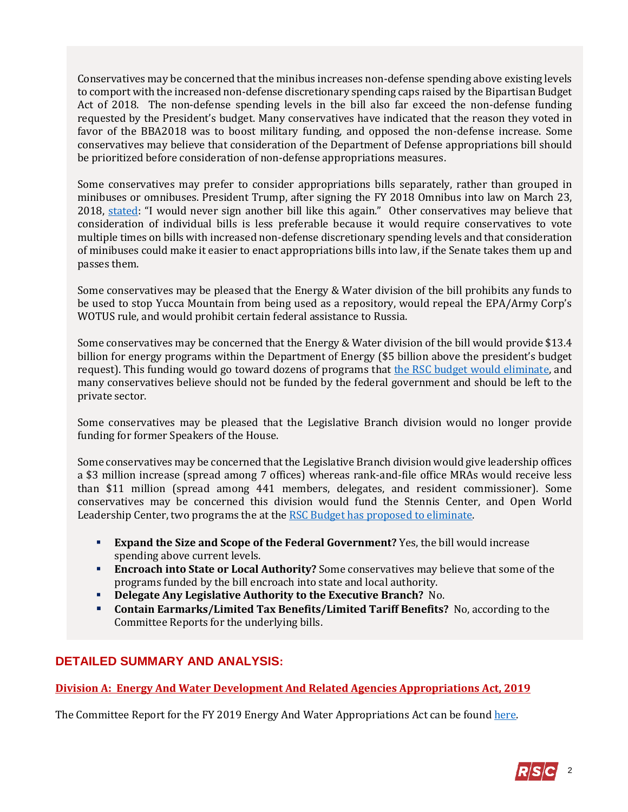Conservatives may be concerned that the minibus increases non-defense spending above existing levels to comport with the increased non-defense discretionary spending caps raised by the Bipartisan Budget Act of 2018. The non-defense spending levels in the bill also far exceed the non-defense funding requested by the President's budget. Many conservatives have indicated that the reason they voted in favor of the BBA2018 was to boost military funding, and opposed the non-defense increase. Some conservatives may believe that consideration of the Department of Defense appropriations bill should be prioritized before consideration of non-defense appropriations measures.

Some conservatives may prefer to consider appropriations bills separately, rather than grouped in minibuses or omnibuses. President Trump, after signing the FY 2018 Omnibus into law on March 23, 2018, [stated](https://www.bloomberg.com/news/articles/2018-03-23/trump-says-he-s-signed-spending-bill-reversing-his-veto-threat): "I would never sign another bill like this again." Other conservatives may believe that consideration of individual bills is less preferable because it would require conservatives to vote multiple times on bills with increased non-defense discretionary spending levels and that consideration of minibuses could make it easier to enact appropriations bills into law, if the Senate takes them up and passes them.

Some conservatives may be pleased that the Energy & Water division of the bill prohibits any funds to be used to stop Yucca Mountain from being used as a repository, would repeal the EPA/Army Corp's WOTUS rule, and would prohibit certain federal assistance to Russia.

Some conservatives may be concerned that the Energy & Water division of the bill would provide \$13.4 billion for energy programs within the Department of Energy (\$5 billion above the president's budget request). This funding would go toward dozens of programs that [the RSC budget would eliminate,](https://rsc-walker.house.gov/sites/republicanstudycommittee.house.gov/files/wysiwyg_uploaded/RSC%20Budget%20FY2019%20-%20Narrative%20-%20FINAL.PDF#page=127) and many conservatives believe should not be funded by the federal government and should be left to the private sector.

Some conservatives may be pleased that the Legislative Branch division would no longer provide funding for former Speakers of the House.

Some conservatives may be concerned that the Legislative Branch division would give leadership offices a \$3 million increase (spread among 7 offices) whereas rank-and-file office MRAs would receive less than \$11 million (spread among 441 members, delegates, and resident commissioner). Some conservatives may be concerned this division would fund the Stennis Center, and Open World Leadership Center, two programs the at the [RSC Budget has proposed to eliminate.](https://rsc-walker.house.gov/sites/republicanstudycommittee.house.gov/files/wysiwyg_uploaded/RSC%20Budget%20FY2019%20-%20Narrative%20-%20FINAL.PDF#page=139)

- **Expand the Size and Scope of the Federal Government?** Yes, the bill would increase spending above current levels.
- **Encroach into State or Local Authority?** Some conservatives may believe that some of the programs funded by the bill encroach into state and local authority.
- **Delegate Any Legislative Authority to the Executive Branch?** No.
- **Contain Earmarks/Limited Tax Benefits/Limited Tariff Benefits?** No, according to the Committee Reports for the underlying bills.

# **DETAILED SUMMARY AND ANALYSIS:**

# **Division A: Energy And Water Development And Related Agencies Appropriations Act, 2019**

The Committee Report for the FY 2019 Energy And Water Appropriations Act can be found [here.](https://www.gpo.gov/fdsys/pkg/CRPT-115hrpt697/pdf/CRPT-115hrpt697.pdf)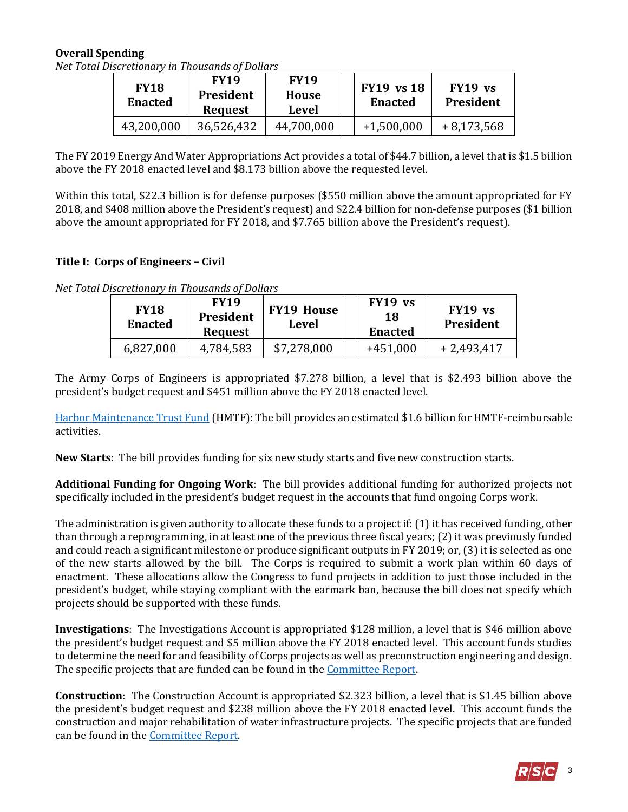## **Overall Spending**

|  | Net Total Discretionary in Thousands of Dollars |  |
|--|-------------------------------------------------|--|

| <b>FY18</b><br><b>Enacted</b> | <b>FY19</b><br><b>President</b><br><b>Request</b> | <b>FY19</b><br><b>House</b><br>Level | <b>FY19</b> vs 18<br><b>Enacted</b> | $FY19$ vs<br><b>President</b> |
|-------------------------------|---------------------------------------------------|--------------------------------------|-------------------------------------|-------------------------------|
| 43,200,000                    | 36,526,432                                        | 44,700,000                           | $+1,500,000$                        | $+8,173,568$                  |

The FY 2019 Energy And Water Appropriations Act provides a total of \$44.7 billion, a level that is \$1.5 billion above the FY 2018 enacted level and \$8.173 billion above the requested level.

Within this total, \$22.3 billion is for defense purposes (\$550 million above the amount appropriated for FY 2018, and \$408 million above the President's request) and \$22.4 billion for non-defense purposes (\$1 billion above the amount appropriated for FY 2018, and \$7.765 billion above the President's request).

# **Title I: Corps of Engineers – Civil**

| Net Total Discretionary in Thousands of Dollars |  |
|-------------------------------------------------|--|
|                                                 |  |

| <b>FY18</b><br><b>Enacted</b> | <b>FY19</b><br><b>President</b><br><b>Request</b> | <b>FY19 House</b><br>Level | $FY19$ vs<br>18<br><b>Enacted</b> | $FY19$ vs<br><b>President</b> |
|-------------------------------|---------------------------------------------------|----------------------------|-----------------------------------|-------------------------------|
| 6,827,000                     | 4,784,583                                         | \$7,278,000                | $+451,000$                        | $+2,493,417$                  |

The Army Corps of Engineers is appropriated \$7.278 billion, a level that is \$2.493 billion above the president's budget request and \$451 million above the FY 2018 enacted level.

[Harbor Maintenance Trust Fund](https://fas.org/sgp/crs/misc/R43222.pdf) (HMTF): The bill provides an estimated \$1.6 billion for HMTF-reimbursable activities.

**New Starts**: The bill provides funding for six new study starts and five new construction starts.

**Additional Funding for Ongoing Work**: The bill provides additional funding for authorized projects not specifically included in the president's budget request in the accounts that fund ongoing Corps work.

The administration is given authority to allocate these funds to a project if: (1) it has received funding, other than through a reprogramming, in at least one of the previous three fiscal years; (2) it was previously funded and could reach a significant milestone or produce significant outputs in FY 2019; or, (3) it is selected as one of the new starts allowed by the bill. The Corps is required to submit a work plan within 60 days of enactment. These allocations allow the Congress to fund projects in addition to just those included in the president's budget, while staying compliant with the earmark ban, because the bill does not specify which projects should be supported with these funds.

**Investigations**: The Investigations Account is appropriated \$128 million, a level that is \$46 million above the president's budget request and \$5 million above the FY 2018 enacted level. This account funds studies to determine the need for and feasibility of Corps projects as well as preconstruction engineering and design. The specific projects that are funded can be found in the **Committee Report**.

**Construction**: The Construction Account is appropriated \$2.323 billion, a level that is \$1.45 billion above the president's budget request and \$238 million above the FY 2018 enacted level. This account funds the construction and major rehabilitation of water infrastructure projects. The specific projects that are funded can be found in th[e Committee Report.](https://www.gpo.gov/fdsys/pkg/CRPT-115hrpt697/pdf/CRPT-115hrpt697.pdf#page=25)

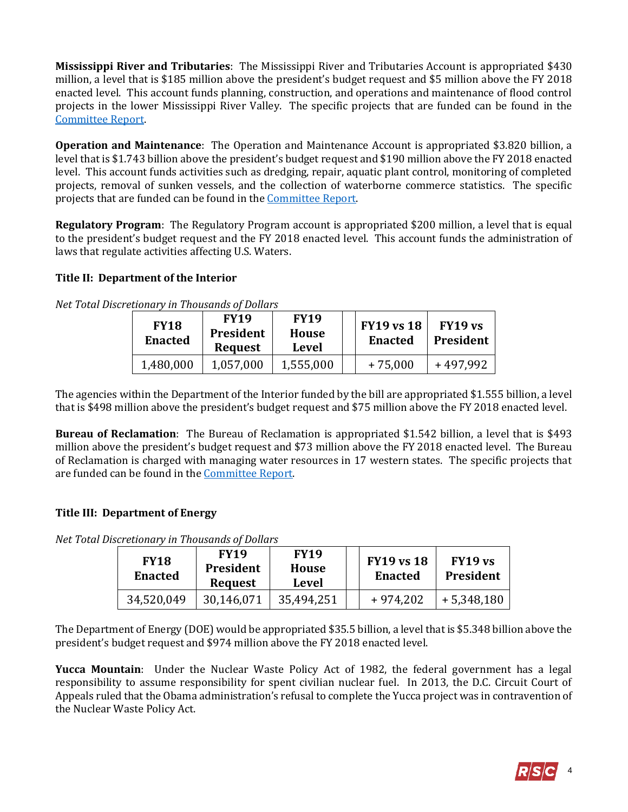**Mississippi River and Tributaries**: The Mississippi River and Tributaries Account is appropriated \$430 million, a level that is \$185 million above the president's budget request and \$5 million above the FY 2018 enacted level. This account funds planning, construction, and operations and maintenance of flood control projects in the lower Mississippi River Valley. The specific projects that are funded can be found in the [Committee Report.](https://www.gpo.gov/fdsys/pkg/CRPT-115hrpt697/pdf/CRPT-115hrpt697.pdf#page=32)

**Operation and Maintenance**: The Operation and Maintenance Account is appropriated \$3.820 billion, a level that is \$1.743 billion above the president's budget request and \$190 million above the FY 2018 enacted level. This account funds activities such as dredging, repair, aquatic plant control, monitoring of completed projects, removal of sunken vessels, and the collection of waterborne commerce statistics. The specific projects that are funded can be found in the [Committee Report.](https://www.gpo.gov/fdsys/pkg/CRPT-115hrpt697/pdf/CRPT-115hrpt697.pdf#page=35)

**Regulatory Program**: The Regulatory Program account is appropriated \$200 million, a level that is equal to the president's budget request and the FY 2018 enacted level. This account funds the administration of laws that regulate activities affecting U.S. Waters.

## **Title II: Department of the Interior**

| Net Total Discretionary in Thousands of Dollars |  |
|-------------------------------------------------|--|
|-------------------------------------------------|--|

| <b>FY18</b><br><b>Enacted</b> | <b>FY19</b><br>President<br><b>Request</b> | <b>FY19</b><br>House<br><b>Level</b> | <b>FY19 vs 18</b><br><b>Enacted</b> | FY19 vs<br><b>President</b> |
|-------------------------------|--------------------------------------------|--------------------------------------|-------------------------------------|-----------------------------|
| 1,480,000                     | 1,057,000                                  | 1,555,000                            | $+75,000$                           | +497,992                    |

The agencies within the Department of the Interior funded by the bill are appropriated \$1.555 billion, a level that is \$498 million above the president's budget request and \$75 million above the FY 2018 enacted level.

**Bureau of Reclamation**: The Bureau of Reclamation is appropriated \$1.542 billion, a level that is \$493 million above the president's budget request and \$73 million above the FY 2018 enacted level. The Bureau of Reclamation is charged with managing water resources in 17 western states. The specific projects that are funded can be found in the [Committee Report.](https://www.gpo.gov/fdsys/pkg/CRPT-115hrpt697/pdf/CRPT-115hrpt697.pdf#page=65)

# **Title III: Department of Energy**

*Net Total Discretionary in Thousands of Dollars*

| <b>FY18</b><br><b>Enacted</b> | <b>FY19</b><br>President<br><b>Request</b> | <b>FY19</b><br>House<br>Level | <b>FY19 vs 18</b><br><b>Enacted</b> | FY19 vs<br><b>President</b> |
|-------------------------------|--------------------------------------------|-------------------------------|-------------------------------------|-----------------------------|
| 34,520,049                    | 30,146,071                                 | 35,494,251                    | $+974,202$                          | $+5,348,180$                |

The Department of Energy (DOE) would be appropriated \$35.5 billion, a level that is \$5.348 billion above the president's budget request and \$974 million above the FY 2018 enacted level.

**Yucca Mountain**: Under the Nuclear Waste Policy Act of 1982, the federal government has a legal responsibility to assume responsibility for spent civilian nuclear fuel. In 2013, the D.C. Circuit Court of Appeals ruled that the Obama administration's refusal to complete the Yucca project was in contravention of the Nuclear Waste Policy Act.

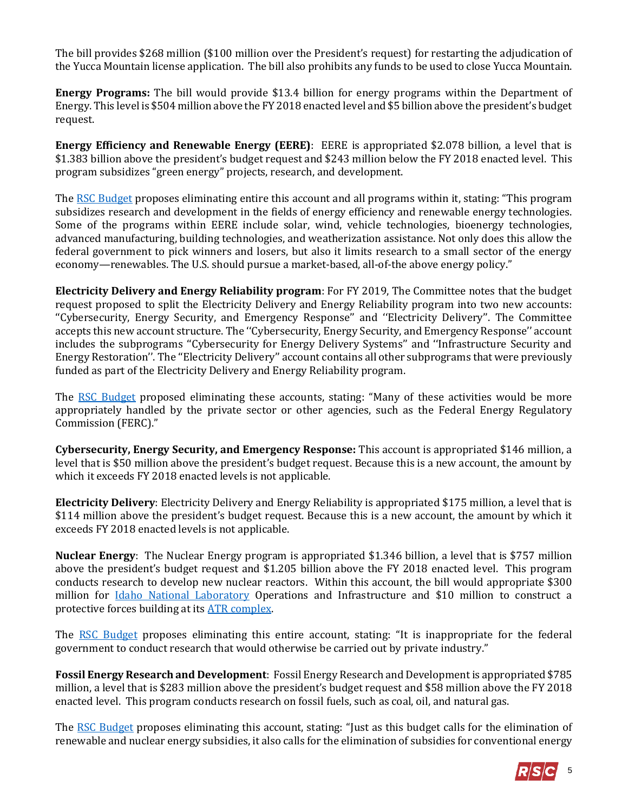The bill provides \$268 million (\$100 million over the President's request) for restarting the adjudication of the Yucca Mountain license application. The bill also prohibits any funds to be used to close Yucca Mountain.

**Energy Programs:** The bill would provide \$13.4 billion for energy programs within the Department of Energy. This level is \$504 million above the FY 2018 enacted level and \$5 billion above the president's budget request.

**Energy Efficiency and Renewable Energy (EERE)**: EERE is appropriated \$2.078 billion, a level that is \$1.383 billion above the president's budget request and \$243 million below the FY 2018 enacted level. This program subsidizes "green energy" projects, research, and development.

Th[e RSC Budget](https://rsc-walker.house.gov/sites/republicanstudycommittee.house.gov/files/wysiwyg_uploaded/RSC%20Budget%20FY2019%20-%20Narrative%20-%20FINAL.PDF#page=128) proposes eliminating entire this account and all programs within it, stating: "This program subsidizes research and development in the fields of energy efficiency and renewable energy technologies. Some of the programs within EERE include solar, wind, vehicle technologies, bioenergy technologies, advanced manufacturing, building technologies, and weatherization assistance. Not only does this allow the federal government to pick winners and losers, but also it limits research to a small sector of the energy economy—renewables. The U.S. should pursue a market-based, all-of-the above energy policy."

**Electricity Delivery and Energy Reliability program**: For FY 2019, The Committee notes that the budget request proposed to split the Electricity Delivery and Energy Reliability program into two new accounts: ''Cybersecurity, Energy Security, and Emergency Response'' and ''Electricity Delivery''. The Committee accepts this new account structure. The ''Cybersecurity, Energy Security, and Emergency Response'' account includes the subprograms ''Cybersecurity for Energy Delivery Systems'' and ''Infrastructure Security and Energy Restoration''. The ''Electricity Delivery'' account contains all other subprograms that were previously funded as part of the Electricity Delivery and Energy Reliability program.

The [RSC Budget](https://rsc-walker.house.gov/sites/republicanstudycommittee.house.gov/files/wysiwyg_uploaded/RSC%20Budget%20FY2019%20-%20Narrative%20-%20FINAL.PDF#page=128) proposed eliminating these accounts, stating: "Many of these activities would be more appropriately handled by the private sector or other agencies, such as the Federal Energy Regulatory Commission (FERC)."

**Cybersecurity, Energy Security, and Emergency Response:** This account is appropriated \$146 million, a level that is \$50 million above the president's budget request. Because this is a new account, the amount by which it exceeds FY 2018 enacted levels is not applicable.

**Electricity Delivery**: Electricity Delivery and Energy Reliability is appropriated \$175 million, a level that is \$114 million above the president's budget request. Because this is a new account, the amount by which it exceeds FY 2018 enacted levels is not applicable.

**Nuclear Energy**: The Nuclear Energy program is appropriated \$1.346 billion, a level that is \$757 million above the president's budget request and \$1.205 billion above the FY 2018 enacted level. This program conducts research to develop new nuclear reactors. Within this account, the bill would appropriate \$300 million for [Idaho National Laboratory](https://www.inl.gov/) Operations and Infrastructure and \$10 million to construct a protective forces building at its [ATR complex.](http://www4vip.inl.gov/research/advanced-test-reactor/)

The [RSC Budget](https://rsc-walker.house.gov/sites/republicanstudycommittee.house.gov/files/wysiwyg_uploaded/RSC%20Budget%20FY2019%20-%20Narrative%20-%20FINAL.PDF#page=127) proposes eliminating this entire account, stating: "It is inappropriate for the federal government to conduct research that would otherwise be carried out by private industry."

**Fossil Energy Research and Development**: Fossil Energy Research and Development is appropriated \$785 million, a level that is \$283 million above the president's budget request and \$58 million above the FY 2018 enacted level. This program conducts research on fossil fuels, such as coal, oil, and natural gas.

The [RSC Budget](https://rsc-walker.house.gov/sites/republicanstudycommittee.house.gov/files/wysiwyg_uploaded/RSC%20Budget%20FY2019%20-%20Narrative%20-%20FINAL.PDF#page=127) proposes eliminating this account, stating: "Just as this budget calls for the elimination of renewable and nuclear energy subsidies, it also calls for the elimination of subsidies for conventional energy

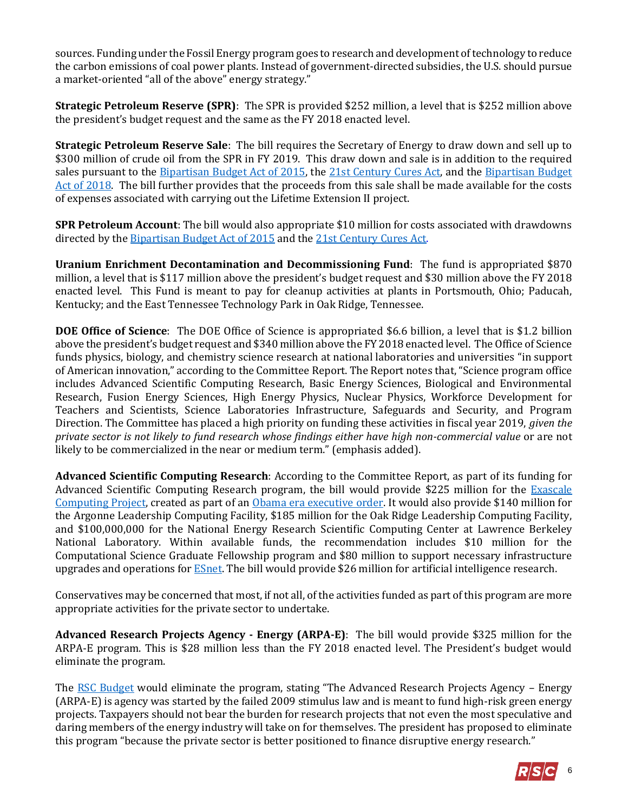sources. Funding under the Fossil Energy program goes to research and development of technology to reduce the carbon emissions of coal power plants. Instead of government-directed subsidies, the U.S. should pursue a market-oriented "all of the above" energy strategy."

**Strategic Petroleum Reserve (SPR)**: The SPR is provided \$252 million, a level that is \$252 million above the president's budget request and the same as the FY 2018 enacted level.

**Strategic Petroleum Reserve Sale**: The bill requires the Secretary of Energy to draw down and sell up to \$300 million of crude oil from the SPR in FY 2019. This draw down and sale is in addition to the required sales pursuant to th[e Bipartisan Budget Act of 2015,](http://rsc.walker.house.gov/files/2015LB/RSC%20Legislative%20Bulletin%20--%20HR%201314%20Bipartisan%20Budget%20Act%20of%202015%20-%20Updated%20with%20Amendment%20--%20October%2028%202015.pdf#page=5) the [21st Century Cures Act,](https://gallery.mailchimp.com/d4254037a343b683d142111e0/files/RSC_Legislative_Bulletin_House_Amendment_to_Senate_Amendment_to_H.R._34_November_29_2016.pdf#page=10) and the [Bipartisan Budget](https://gallery.mailchimp.com/d4254037a343b683d142111e0/files/8be9165d-c3d8-465e-bc72-ddd6a788d62b/LB_Bipartisan_Budget_Act_of_2018_02072018_FINAL_Updated.pdf)  [Act of 2018.](https://gallery.mailchimp.com/d4254037a343b683d142111e0/files/8be9165d-c3d8-465e-bc72-ddd6a788d62b/LB_Bipartisan_Budget_Act_of_2018_02072018_FINAL_Updated.pdf) The bill further provides that the proceeds from this sale shall be made available for the costs of expenses associated with carrying out the Lifetime Extension II project.

**SPR Petroleum Account**: The bill would also appropriate \$10 million for costs associated with drawdowns directed by the [Bipartisan Budget Act of 2015](http://rsc.walker.house.gov/files/2015LB/RSC%20Legislative%20Bulletin%20--%20HR%201314%20Bipartisan%20Budget%20Act%20of%202015%20-%20Updated%20with%20Amendment%20--%20October%2028%202015.pdf#page=5) and the [21st Century Cures Act.](https://gallery.mailchimp.com/d4254037a343b683d142111e0/files/RSC_Legislative_Bulletin_House_Amendment_to_Senate_Amendment_to_H.R._34_November_29_2016.pdf#page=10)

**Uranium Enrichment Decontamination and Decommissioning Fund**: The fund is appropriated \$870 million, a level that is \$117 million above the president's budget request and \$30 million above the FY 2018 enacted level. This Fund is meant to pay for cleanup activities at plants in Portsmouth, Ohio; Paducah, Kentucky; and the East Tennessee Technology Park in Oak Ridge, Tennessee.

**DOE Office of Science**: The DOE Office of Science is appropriated \$6.6 billion, a level that is \$1.2 billion above the president's budget request and \$340 million above the FY 2018 enacted level. The Office of Science funds physics, biology, and chemistry science research at national laboratories and universities "in support of American innovation," according to the Committee Report. The Report notes that, "Science program office includes Advanced Scientific Computing Research, Basic Energy Sciences, Biological and Environmental Research, Fusion Energy Sciences, High Energy Physics, Nuclear Physics, Workforce Development for Teachers and Scientists, Science Laboratories Infrastructure, Safeguards and Security, and Program Direction. The Committee has placed a high priority on funding these activities in fiscal year 2019, *given the private sector is not likely to fund research whose findings either have high non-commercial value* or are not likely to be commercialized in the near or medium term." (emphasis added).

**Advanced Scientific Computing Research**: According to the Committee Report, as part of its funding for Advanced Scientific Computing Research program, the bill would provide \$225 million for the Exascale [Computing Project,](https://obamawhitehouse.archives.gov/the-press-office/2015/07/29/executive-order-creating-national-strategic-computing-initiative) created as part of an [Obama era executive order.](https://obamawhitehouse.archives.gov/the-press-office/2015/07/29/executive-order-creating-national-strategic-computing-initiative) It would also provide \$140 million for the Argonne Leadership Computing Facility, \$185 million for the Oak Ridge Leadership Computing Facility, and \$100,000,000 for the National Energy Research Scientific Computing Center at Lawrence Berkeley National Laboratory. Within available funds, the recommendation includes \$10 million for the Computational Science Graduate Fellowship program and \$80 million to support necessary infrastructure upgrades and operations for **ESnet**. The bill would provide \$26 million for artificial intelligence research.

Conservatives may be concerned that most, if not all, of the activities funded as part of this program are more appropriate activities for the private sector to undertake.

**Advanced Research Projects Agency - Energy (ARPA-E)**: The bill would provide \$325 million for the ARPA-E program. This is \$28 million less than the FY 2018 enacted level. The President's budget would eliminate the program.

The [RSC Budget](https://rsc-walker.house.gov/sites/republicanstudycommittee.house.gov/files/wysiwyg_uploaded/RSC%20Budget%20FY2019%20-%20Narrative%20-%20FINAL.PDF#page=127) would eliminate the program, stating "The Advanced Research Projects Agency - Energy (ARPA-E) is agency was started by the failed 2009 stimulus law and is meant to fund high-risk green energy projects. Taxpayers should not bear the burden for research projects that not even the most speculative and daring members of the energy industry will take on for themselves. The president has proposed to eliminate this program "because the private sector is better positioned to finance disruptive energy research."

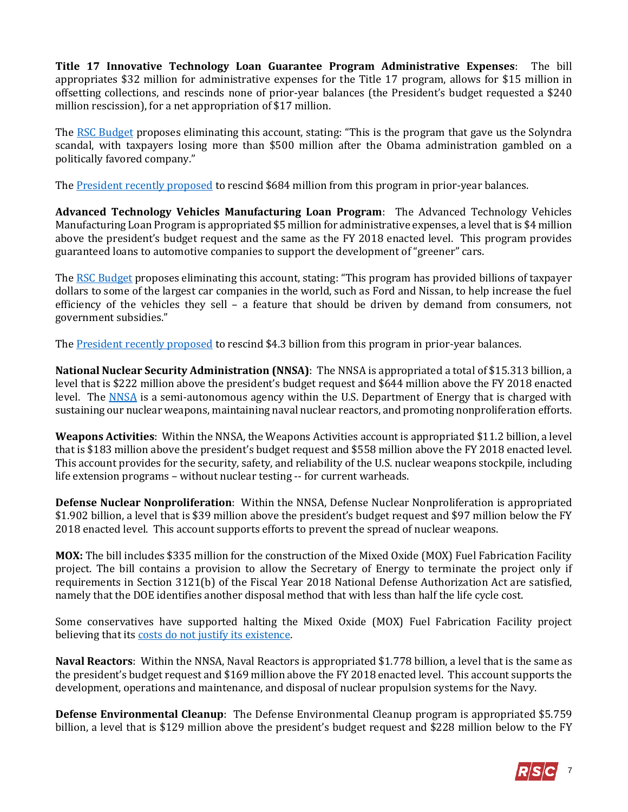**Title 17 Innovative Technology Loan Guarantee Program Administrative Expenses**: The bill appropriates \$32 million for administrative expenses for the Title 17 program, allows for \$15 million in offsetting collections, and rescinds none of prior-year balances (the President's budget requested a \$240 million rescission), for a net appropriation of \$17 million.

The [RSC Budget](http://rsc.walker.house.gov/files/Initiatives/SecuringAmericasFutureEconomyRSCFY2018Budget.pdf#page=138) proposes eliminating this account, stating: "This is the program that gave us the Solyndra scandal, with taxpayers losing more than \$500 million after the Obama administration gambled on a politically favored company."

The **President recently proposed to rescind \$684 million from this program in prior-year balances.** 

**Advanced Technology Vehicles Manufacturing Loan Program**: The Advanced Technology Vehicles Manufacturing Loan Program is appropriated \$5 million for administrative expenses, a level that is \$4 million above the president's budget request and the same as the FY 2018 enacted level. This program provides guaranteed loans to automotive companies to support the development of "greener" cars.

Th[e RSC Budget](https://rsc-walker.house.gov/sites/republicanstudycommittee.house.gov/files/wysiwyg_uploaded/RSC%20Budget%20FY2019%20-%20Narrative%20-%20FINAL.PDF#page=128) proposes eliminating this account, stating: "This program has provided billions of taxpayer dollars to some of the largest car companies in the world, such as Ford and Nissan, to help increase the fuel efficiency of the vehicles they sell – a feature that should be driven by demand from consumers, not government subsidies."

The **President recently proposed** to rescind \$4.3 billion from this program in prior-year balances.

**National Nuclear Security Administration (NNSA)**: The NNSA is appropriated a total of \$15.313 billion, a level that is \$222 million above the president's budget request and \$644 million above the FY 2018 enacted level. The [NNSA](http://nnsa.energy.gov/) is a semi-autonomous agency within the U.S. Department of Energy that is charged with sustaining our nuclear weapons, maintaining naval nuclear reactors, and promoting nonproliferation efforts.

**Weapons Activities**: Within the NNSA, the Weapons Activities account is appropriated \$11.2 billion, a level that is \$183 million above the president's budget request and \$558 million above the FY 2018 enacted level. This account provides for the security, safety, and reliability of the U.S. nuclear weapons stockpile, including life extension programs – without nuclear testing -- for current warheads.

**Defense Nuclear Nonproliferation**: Within the NNSA, Defense Nuclear Nonproliferation is appropriated \$1.902 billion, a level that is \$39 million above the president's budget request and \$97 million below the FY 2018 enacted level. This account supports efforts to prevent the spread of nuclear weapons.

**MOX:** The bill includes \$335 million for the construction of the Mixed Oxide (MOX) Fuel Fabrication Facility project. The bill contains a provision to allow the Secretary of Energy to terminate the project only if requirements in Section 3121(b) of the Fiscal Year 2018 National Defense Authorization Act are satisfied, namely that the DOE identifies another disposal method that with less than half the life cycle cost.

Some conservatives have supported halting the Mixed Oxide (MOX) Fuel Fabrication Facility project believing that its [costs do not justify its existence.](https://www.taxpayer.net/energy-natural-resources/the-poster-child-for-government-boondoggles/)

**Naval Reactors**: Within the NNSA, Naval Reactors is appropriated \$1.778 billion, a level that is the same as the president's budget request and \$169 million above the FY 2018 enacted level. This account supports the development, operations and maintenance, and disposal of nuclear propulsion systems for the Navy.

**Defense Environmental Cleanup**: The Defense Environmental Cleanup program is appropriated \$5.759 billion, a level that is \$129 million above the president's budget request and \$228 million below to the FY

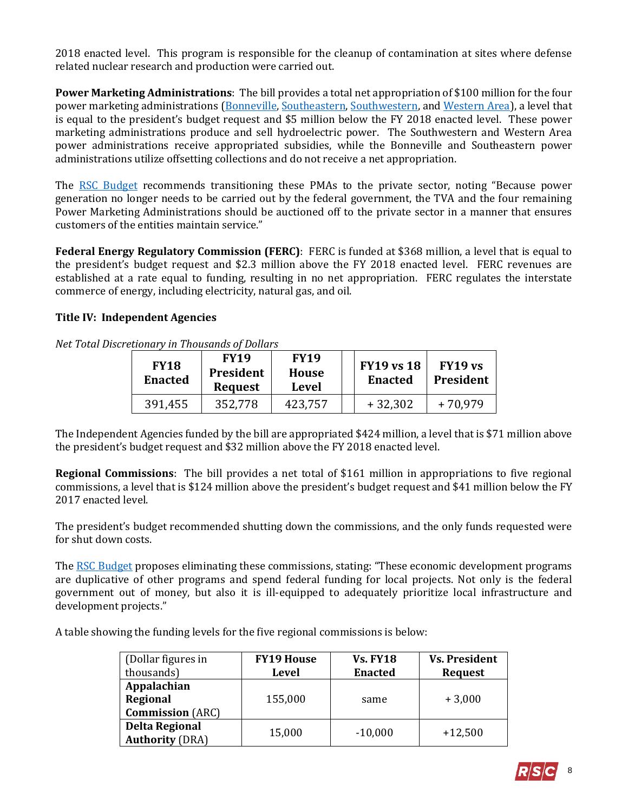2018 enacted level. This program is responsible for the cleanup of contamination at sites where defense related nuclear research and production were carried out.

**Power Marketing Administrations**: The bill provides a total net appropriation of \$100 million for the four power marketing administrations [\(Bonneville,](http://www.bpa.gov/) [Southeastern,](http://energy.gov/sepa) [Southwestern,](http://www.swpa.gov/) an[d Western Area\)](http://www.wapa.gov/), a level that is equal to the president's budget request and \$5 million below the FY 2018 enacted level. These power marketing administrations produce and sell hydroelectric power. The Southwestern and Western Area power administrations receive appropriated subsidies, while the Bonneville and Southeastern power administrations utilize offsetting collections and do not receive a net appropriation.

The [RSC Budget](https://rsc-walker.house.gov/sites/republicanstudycommittee.house.gov/files/wysiwyg_uploaded/RSC%20Budget%20FY2019%20-%20Narrative%20-%20FINAL.PDF#page=91) recommends transitioning these PMAs to the private sector, noting "Because power generation no longer needs to be carried out by the federal government, the TVA and the four remaining Power Marketing Administrations should be auctioned off to the private sector in a manner that ensures customers of the entities maintain service."

**Federal Energy Regulatory Commission (FERC)**: FERC is funded at \$368 million, a level that is equal to the president's budget request and \$2.3 million above the FY 2018 enacted level. FERC revenues are established at a rate equal to funding, resulting in no net appropriation. FERC regulates the interstate commerce of energy, including electricity, natural gas, and oil.

#### **Title IV: Independent Agencies**

| <b>FY18</b><br><b>Enacted</b> | <b>FY19</b><br><b>President</b><br><b>Request</b> | <b>FY19</b><br>House<br>Level | <b>FY19 vs 18</b><br><b>Enacted</b> | FY19 vs<br>President |
|-------------------------------|---------------------------------------------------|-------------------------------|-------------------------------------|----------------------|
| 391,455                       | 352,778                                           | 423,757                       | $+32,302$                           | $+70,979$            |

*Net Total Discretionary in Thousands of Dollars*

The Independent Agencies funded by the bill are appropriated \$424 million, a level that is \$71 million above the president's budget request and \$32 million above the FY 2018 enacted level.

**Regional Commissions**: The bill provides a net total of \$161 million in appropriations to five regional commissions, a level that is \$124 million above the president's budget request and \$41 million below the FY 2017 enacted level.

The president's budget recommended shutting down the commissions, and the only funds requested were for shut down costs.

Th[e RSC Budget](https://rsc-walker.house.gov/sites/republicanstudycommittee.house.gov/files/wysiwyg_uploaded/RSC%20Budget%20FY2019%20-%20Narrative%20-%20FINAL.PDF#page=128) proposes eliminating these commissions, stating: "These economic development programs are duplicative of other programs and spend federal funding for local projects. Not only is the federal government out of money, but also it is ill-equipped to adequately prioritize local infrastructure and development projects."

A table showing the funding levels for the five regional commissions is below:

| (Dollar figures in      | <b>FY19 House</b> | <b>Vs. FY18</b> | <b>Vs. President</b> |
|-------------------------|-------------------|-----------------|----------------------|
| thousands)              | Level             | <b>Enacted</b>  | Request              |
| Appalachian             |                   |                 |                      |
| Regional                | 155,000           | same            | $+3,000$             |
| <b>Commission</b> (ARC) |                   |                 |                      |
| <b>Delta Regional</b>   | 15,000            | $-10,000$       | $+12,500$            |
| <b>Authority (DRA)</b>  |                   |                 |                      |

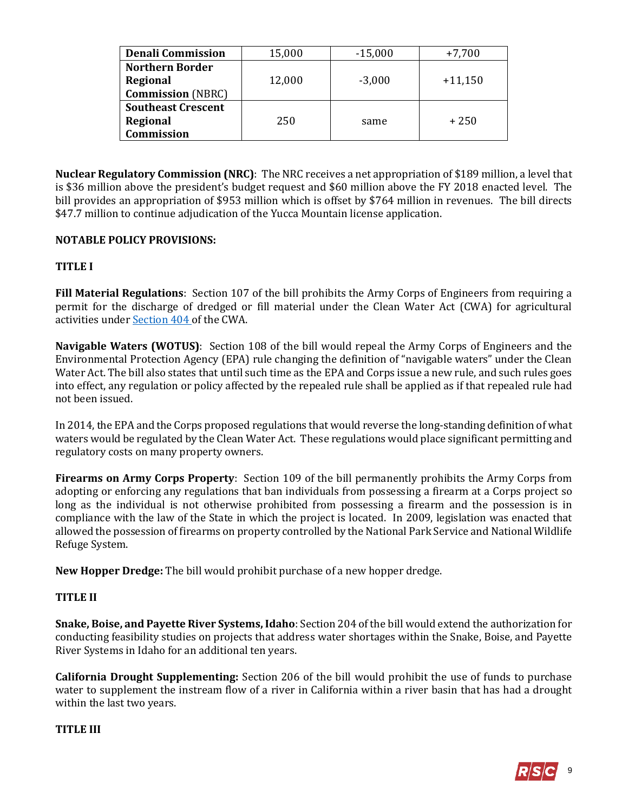| <b>Denali Commission</b>  | 15,000 |          | $+7,700$  |
|---------------------------|--------|----------|-----------|
| <b>Northern Border</b>    |        |          |           |
| Regional                  | 12,000 | $-3,000$ | $+11,150$ |
| <b>Commission</b> (NBRC)  |        |          |           |
| <b>Southeast Crescent</b> |        |          |           |
| Regional                  | 250    | same     | $+250$    |
| Commission                |        |          |           |

**Nuclear Regulatory Commission (NRC)**: The NRC receives a net appropriation of \$189 million, a level that is \$36 million above the president's budget request and \$60 million above the FY 2018 enacted level. The bill provides an appropriation of \$953 million which is offset by \$764 million in revenues. The bill directs \$47.7 million to continue adjudication of the Yucca Mountain license application.

## **NOTABLE POLICY PROVISIONS:**

## **TITLE I**

**Fill Material Regulations**: Section 107 of the bill prohibits the Army Corps of Engineers from requiring a permit for the discharge of dredged or fill material under the Clean Water Act (CWA) for agricultural activities unde[r Section 404](http://uscode.house.gov/view.xhtml?req=(title:33%20section:1344%20edition:prelim)%20OR%20(granuleid:USC-prelim-title33-section1344)&f=treesort&edition=prelim&num=0&jumpTo=true#substructure-location_f_1) of the CWA.

**Navigable Waters (WOTUS)**: Section 108 of the bill would repeal the Army Corps of Engineers and the Environmental Protection Agency (EPA) rule changing the definition of "navigable waters" under the Clean Water Act. The bill also states that until such time as the EPA and Corps issue a new rule, and such rules goes into effect, any regulation or policy affected by the repealed rule shall be applied as if that repealed rule had not been issued.

In 2014, the EPA and the Corps proposed regulations that would reverse the long-standing definition of what waters would be regulated by the Clean Water Act. These regulations would place significant permitting and regulatory costs on many property owners.

**Firearms on Army Corps Property**: Section 109 of the bill permanently prohibits the Army Corps from adopting or enforcing any regulations that ban individuals from possessing a firearm at a Corps project so long as the individual is not otherwise prohibited from possessing a firearm and the possession is in compliance with the law of the State in which the project is located. In 2009, legislation was enacted that allowed the possession of firearms on property controlled by the National Park Service and National Wildlife Refuge System.

**New Hopper Dredge:** The bill would prohibit purchase of a new hopper dredge.

#### **TITLE II**

**Snake, Boise, and Payette River Systems, Idaho**: Section 204 of the bill would extend the authorization for conducting feasibility studies on projects that address water shortages within the Snake, Boise, and Payette River Systems in Idaho for an additional ten years.

**California Drought Supplementing:** Section 206 of the bill would prohibit the use of funds to purchase water to supplement the instream flow of a river in California within a river basin that has had a drought within the last two years.

#### **TITLE III**

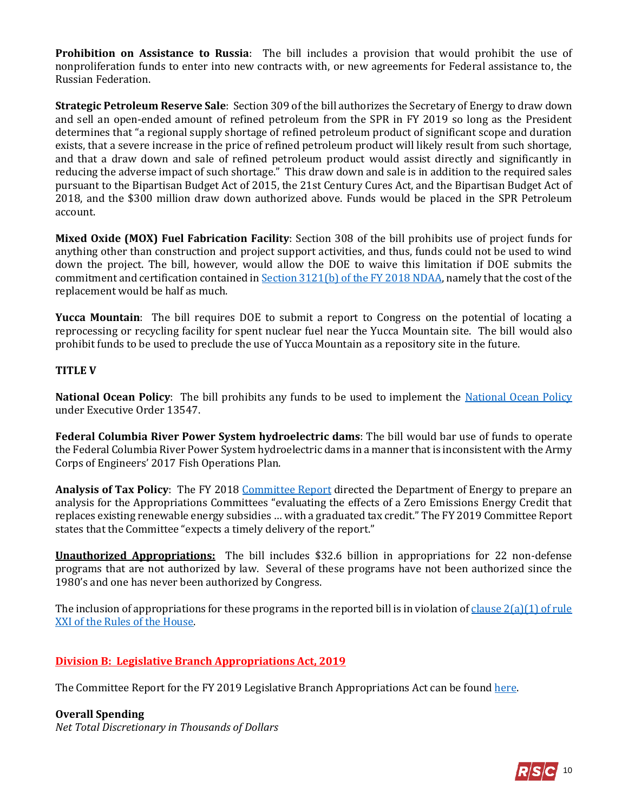**Prohibition on Assistance to Russia**: The bill includes a provision that would prohibit the use of nonproliferation funds to enter into new contracts with, or new agreements for Federal assistance to, the Russian Federation.

**Strategic Petroleum Reserve Sale**: Section 309 of the bill authorizes the Secretary of Energy to draw down and sell an open-ended amount of refined petroleum from the SPR in FY 2019 so long as the President determines that "a regional supply shortage of refined petroleum product of significant scope and duration exists, that a severe increase in the price of refined petroleum product will likely result from such shortage, and that a draw down and sale of refined petroleum product would assist directly and significantly in reducing the adverse impact of such shortage." This draw down and sale is in addition to the required sales pursuant to the Bipartisan Budget Act of 2015, the 21st Century Cures Act, and the Bipartisan Budget Act of 2018, and the \$300 million draw down authorized above. Funds would be placed in the SPR Petroleum account.

**Mixed Oxide (MOX) Fuel Fabrication Facility**: Section 308 of the bill prohibits use of project funds for anything other than construction and project support activities, and thus, funds could not be used to wind down the project. The bill, however, would allow the DOE to waive this limitation if DOE submits the commitment and certification contained i[n Section 3121\(b\) of the FY 2018 NDAA,](https://www.congress.gov/115/bills/hr2810/BILLS-115hr2810enr.pdf#page=610) namely that the cost of the replacement would be half as much.

**Yucca Mountain**: The bill requires DOE to submit a report to Congress on the potential of locating a reprocessing or recycling facility for spent nuclear fuel near the Yucca Mountain site. The bill would also prohibit funds to be used to preclude the use of Yucca Mountain as a repository site in the future.

#### **TITLE V**

**National Ocean Policy**: The bill prohibits any funds to be used to implement the [National Ocean Policy](http://naturalresources.house.gov/news/documentquery.aspx?SubcommitteeID=23422) under Executive Order 13547.

**Federal Columbia River Power System hydroelectric dams**: The bill would bar use of funds to operate the Federal Columbia River Power System hydroelectric dams in a manner that is inconsistent with the Army Corps of Engineers' 2017 Fish Operations Plan.

Analysis of Tax Policy: The FY 2018 Committee Report directed the Department of Energy to prepare an analysis for the Appropriations Committees "evaluating the effects of a Zero Emissions Energy Credit that replaces existing renewable energy subsidies … with a graduated tax credit." The FY 2019 Committee Report states that the Committee "expects a timely delivery of the report."

**Unauthorized Appropriations:** The bill includes \$32.6 billion in appropriations for 22 non-defense programs that are not authorized by law. Several of these programs have not been authorized since the 1980's and one has never been authorized by Congress.

The inclusion of appropriations for these programs in the reported bill is in violation of clause  $2(a)(1)$  of rule [XXI of the Rules of the House.](https://rules.house.gov/sites/republicans.rules.house.gov/files/115/PDF/House-Rules-115.pdf#page=39)

#### **Division B: Legislative Branch Appropriations Act, 2019**

The Committee Report for the FY 2019 Legislative Branch Appropriations Act can be foun[d here.](https://www.gpo.gov/fdsys/pkg/CRPT-115hrpt696/pdf/CRPT-115hrpt696.pdf)

#### **Overall Spending**

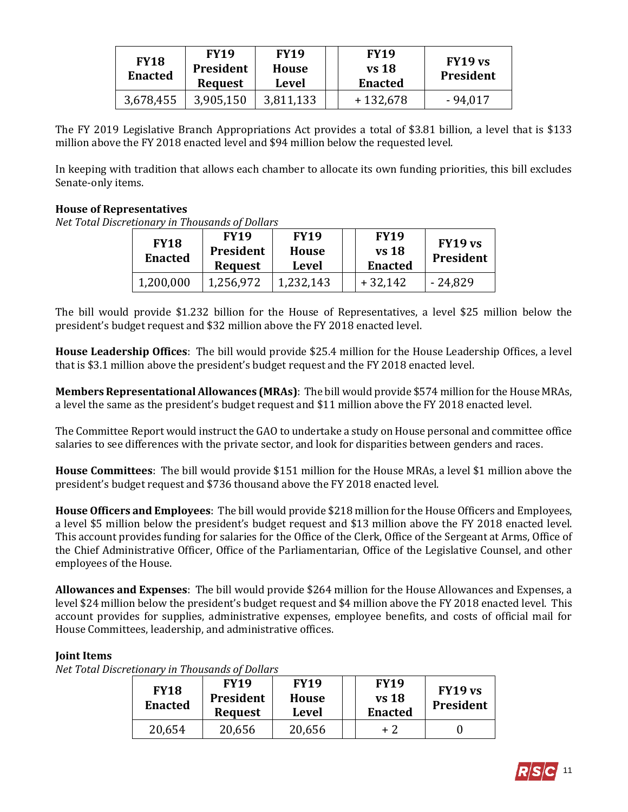| <b>FY18</b><br><b>Enacted</b> | <b>FY19</b><br><b>President</b><br><b>Request</b> | <b>FY19</b><br>House<br>Level | <b>FY19</b><br>vs 18<br><b>Enacted</b> | FY19 vs<br><b>President</b> |
|-------------------------------|---------------------------------------------------|-------------------------------|----------------------------------------|-----------------------------|
| 3,678,455                     | 3,905,150                                         | 3,811,133                     | $+132,678$                             | - 94,017                    |

The FY 2019 Legislative Branch Appropriations Act provides a total of \$3.81 billion, a level that is \$133 million above the FY 2018 enacted level and \$94 million below the requested level.

In keeping with tradition that allows each chamber to allocate its own funding priorities, this bill excludes Senate-only items.

#### **House of Representatives**

*Net Total Discretionary in Thousands of Dollars*

| <b>FY18</b><br><b>Enacted</b> | <b>FY19</b><br>President<br><b>Request</b> | <b>FY19</b><br>House<br>Level | <b>FY19</b><br>vs 18<br><b>Enacted</b> | FY19 vs<br><b>President</b> |
|-------------------------------|--------------------------------------------|-------------------------------|----------------------------------------|-----------------------------|
| 1,200,000                     | 1,256,972                                  | 1,232,143                     | $+32,142$                              | - 24,829                    |

The bill would provide \$1.232 billion for the House of Representatives, a level \$25 million below the president's budget request and \$32 million above the FY 2018 enacted level.

**House Leadership Offices**: The bill would provide \$25.4 million for the House Leadership Offices, a level that is \$3.1 million above the president's budget request and the FY 2018 enacted level.

**Members Representational Allowances (MRAs)**: The bill would provide \$574 million for the House MRAs, a level the same as the president's budget request and \$11 million above the FY 2018 enacted level.

The Committee Report would instruct the GAO to undertake a study on House personal and committee office salaries to see differences with the private sector, and look for disparities between genders and races.

**House Committees**: The bill would provide \$151 million for the House MRAs, a level \$1 million above the president's budget request and \$736 thousand above the FY 2018 enacted level.

**House Officers and Employees**: The bill would provide \$218 million for the House Officers and Employees, a level \$5 million below the president's budget request and \$13 million above the FY 2018 enacted level. This account provides funding for salaries for the Office of the Clerk, Office of the Sergeant at Arms, Office of the Chief Administrative Officer, Office of the Parliamentarian, Office of the Legislative Counsel, and other employees of the House.

**Allowances and Expenses**: The bill would provide \$264 million for the House Allowances and Expenses, a level \$24 million below the president's budget request and \$4 million above the FY 2018 enacted level. This account provides for supplies, administrative expenses, employee benefits, and costs of official mail for House Committees, leadership, and administrative offices.

#### **Joint Items**

| <b>FY18</b><br><b>Enacted</b> | <b>FY19</b><br>President<br><b>Request</b> | <b>FY19</b><br>House<br>Level | <b>FY19</b><br>$vs$ 18<br><b>Enacted</b> | FY19 vs<br>President |
|-------------------------------|--------------------------------------------|-------------------------------|------------------------------------------|----------------------|
| 20,654                        | 20,656                                     | 20,656                        | $+2$                                     |                      |

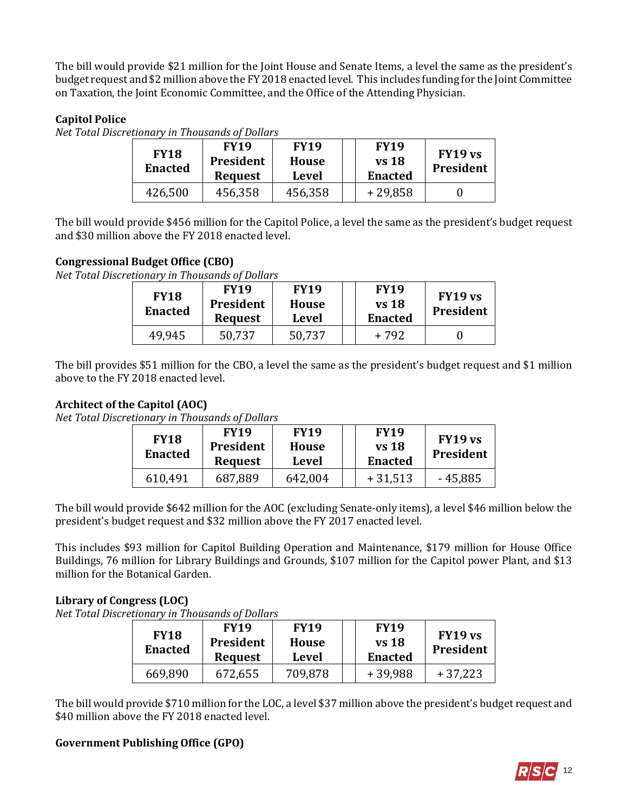The bill would provide \$21 million for the Joint House and Senate Items, a level the same as the president's budget request and \$2 million above the FY 2018 enacted level. This includes funding for the Joint Committee on Taxation, the Joint Economic Committee, and the Office of the Attending Physician.

## **Capitol Police**

*Net Total Discretionary in Thousands of Dollars*

| <b>FY18</b><br><b>Enacted</b> | <b>FY19</b><br>President<br><b>Request</b> | <b>FY19</b><br>House<br><b>Level</b> | <b>FY19</b><br><b>vs</b> 18<br><b>Enacted</b> | FY19 vs<br><b>President</b> |
|-------------------------------|--------------------------------------------|--------------------------------------|-----------------------------------------------|-----------------------------|
| 426,500                       | 456,358                                    | 456,358                              | $+29,858$                                     |                             |

The bill would provide \$456 million for the Capitol Police, a level the same as the president's budget request and \$30 million above the FY 2018 enacted level.

#### **Congressional Budget Office (CBO)**

*Net Total Discretionary in Thousands of Dollars*

| <b>FY18</b><br><b>Enacted</b> | <b>FY19</b><br>President<br><b>Request</b> | <b>FY19</b><br><b>House</b><br>Level | <b>FY19</b><br>vs 18<br><b>Enacted</b> | FY19 vs<br><b>President</b> |
|-------------------------------|--------------------------------------------|--------------------------------------|----------------------------------------|-----------------------------|
| 49.945                        | 50,737                                     | 50,737                               | + 792                                  |                             |

The bill provides \$51 million for the CBO, a level the same as the president's budget request and \$1 million above to the FY 2018 enacted level.

#### **Architect of the Capitol (AOC)**

*Net Total Discretionary in Thousands of Dollars*

| <b>FY18</b><br><b>Enacted</b> | <b>FY19</b><br><b>President</b><br><b>Request</b> | <b>FY19</b><br>House<br>Level | <b>FY19</b><br>$vs$ 18<br><b>Enacted</b> | FY19 vs<br><b>President</b> |
|-------------------------------|---------------------------------------------------|-------------------------------|------------------------------------------|-----------------------------|
| 610,491                       | 687,889                                           | 642,004                       | $+31,513$                                | $-45,885$                   |

The bill would provide \$642 million for the AOC (excluding Senate-only items), a level \$46 million below the president's budget request and \$32 million above the FY 2017 enacted level.

This includes \$93 million for Capitol Building Operation and Maintenance, \$179 million for House Office Buildings, 76 million for Library Buildings and Grounds, \$107 million for the Capitol power Plant, and \$13 million for the Botanical Garden.

#### **Library of Congress (LOC)**

*Net Total Discretionary in Thousands of Dollars*

| <b>FY18</b><br><b>Enacted</b> | <b>FY19</b><br>President<br><b>Request</b> | <b>FY19</b><br><b>House</b><br><b>Level</b> | <b>FY19</b><br><b>vs</b> 18<br><b>Enacted</b> | FY19 vs<br>President |
|-------------------------------|--------------------------------------------|---------------------------------------------|-----------------------------------------------|----------------------|
| 669,890                       | 672,655                                    | 709,878                                     | $+39,988$                                     | $+37,223$            |

The bill would provide \$710 million for the LOC, a level \$37 million above the president's budget request and \$40 million above the FY 2018 enacted level.

#### **Government Publishing Office (GPO)**

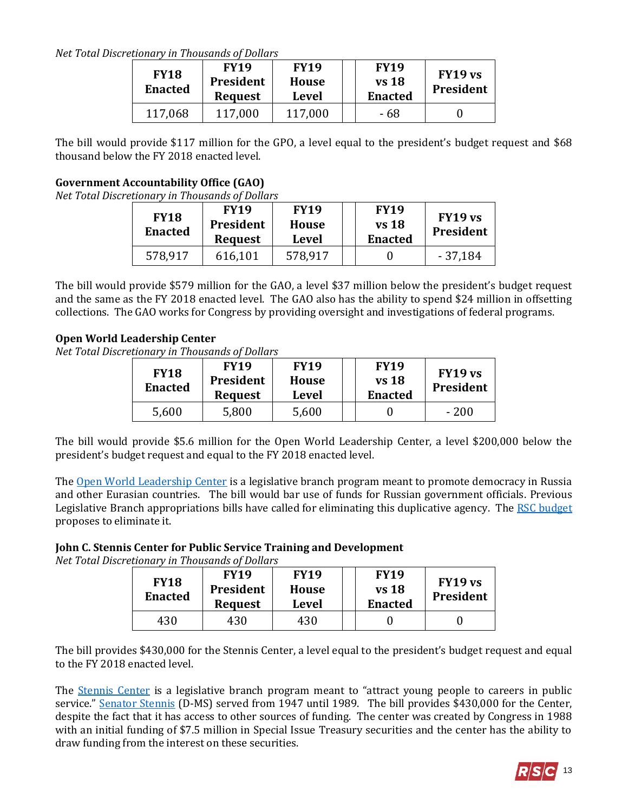*Net Total Discretionary in Thousands of Dollars*

| <b>FY18</b><br><b>Enacted</b> | <b>FY19</b><br><b>President</b><br><b>Request</b> | <b>FY19</b><br><b>House</b><br><b>Level</b> | <b>FY19</b><br>$vs$ 18<br><b>Enacted</b> | FY19 vs<br>President |
|-------------------------------|---------------------------------------------------|---------------------------------------------|------------------------------------------|----------------------|
| 117,068                       | 117,000                                           | 117,000                                     | - 68                                     |                      |

The bill would provide \$117 million for the GPO, a level equal to the president's budget request and \$68 thousand below the FY 2018 enacted level.

## **Government Accountability Office (GAO)**

*Net Total Discretionary in Thousands of Dollars*

| <b>FY18</b><br><b>Enacted</b> | <b>FY19</b><br>President<br><b>Request</b> | <b>FY19</b><br><b>House</b><br>Level | <b>FY19</b><br><b>vs</b> 18<br><b>Enacted</b> | FY19 vs<br><b>President</b> |
|-------------------------------|--------------------------------------------|--------------------------------------|-----------------------------------------------|-----------------------------|
| 578,917                       | 616,101                                    | 578,917                              |                                               | $-37,184$                   |

The bill would provide \$579 million for the GAO, a level \$37 million below the president's budget request and the same as the FY 2018 enacted level. The GAO also has the ability to spend \$24 million in offsetting collections. The GAO works for Congress by providing oversight and investigations of federal programs.

## **Open World Leadership Center**

*Net Total Discretionary in Thousands of Dollars*

| <b>FY18</b><br><b>Enacted</b> | <b>FY19</b><br><b>President</b><br><b>Request</b> | <b>FY19</b><br><b>House</b><br>Level | <b>FY19</b><br>vs 18<br><b>Enacted</b> | FY19 vs<br><b>President</b> |
|-------------------------------|---------------------------------------------------|--------------------------------------|----------------------------------------|-----------------------------|
| 5,600                         | 5,800                                             | 5,600                                |                                        | - 200                       |

The bill would provide \$5.6 million for the Open World Leadership Center, a level \$200,000 below the president's budget request and equal to the FY 2018 enacted level.

Th[e Open World Leadership Center](http://www.openworld.gov/) is a legislative branch program meant to promote democracy in Russia and other Eurasian countries. The bill would bar use of funds for Russian government officials. Previous Legislative Branch appropriations bills have called for eliminating this duplicative agency. The [RSC budget](https://rsc-walker.house.gov/sites/republicanstudycommittee.house.gov/files/wysiwyg_uploaded/RSC%20Budget%20FY2019%20-%20Narrative%20-%20FINAL.PDF#page=139) proposes to eliminate it.

# **John C. Stennis Center for Public Service Training and Development**

*Net Total Discretionary in Thousands of Dollars*

| <b>FY18</b><br><b>Enacted</b> | <b>FY19</b><br>President<br><b>Request</b> | <b>FY19</b><br><b>House</b><br>Level | <b>FY19</b><br>vs 18<br><b>Enacted</b> | FY19 vs<br><b>President</b> |
|-------------------------------|--------------------------------------------|--------------------------------------|----------------------------------------|-----------------------------|
| 430                           | 430                                        | 430                                  |                                        |                             |

The bill provides \$430,000 for the Stennis Center, a level equal to the president's budget request and equal to the FY 2018 enacted level.

The **Stennis Center** is a legislative branch program meant to "attract young people to careers in public service." [Senator Stennis](http://www.nytimes.com/1995/04/24/obituaries/john-c-stennis-93-longtime-chairman-of-powerful-committees-in-the-senate-dies.html) (D-MS) served from 1947 until 1989. The bill provides \$430,000 for the Center, despite the fact that it has access to other sources of funding. The center was created by Congress in 1988 with an initial funding of \$7.5 million in Special Issue Treasury securities and the center has the ability to draw funding from the interest on these securities.

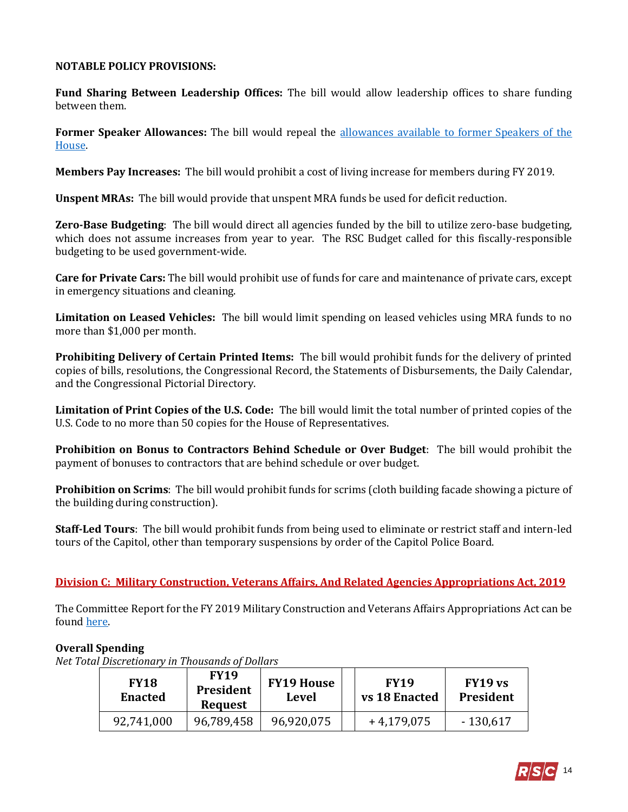#### **NOTABLE POLICY PROVISIONS:**

**Fund Sharing Between Leadership Offices:** The bill would allow leadership offices to share funding between them.

**Former Speaker Allowances:** The bill would repeal the [allowances available to former Speakers of the](https://fas.org/sgp/crs/misc/RS20099.pdf)  [House.](https://fas.org/sgp/crs/misc/RS20099.pdf) 

**Members Pay Increases:** The bill would prohibit a cost of living increase for members during FY 2019.

**Unspent MRAs:** The bill would provide that unspent MRA funds be used for deficit reduction.

**Zero-Base Budgeting**: The bill would direct all agencies funded by the bill to utilize zero-base budgeting, which does not assume increases from year to year. The RSC Budget called for this fiscally-responsible budgeting to be used government-wide.

**Care for Private Cars:** The bill would prohibit use of funds for care and maintenance of private cars, except in emergency situations and cleaning.

**Limitation on Leased Vehicles:** The bill would limit spending on leased vehicles using MRA funds to no more than \$1,000 per month.

**Prohibiting Delivery of Certain Printed Items:** The bill would prohibit funds for the delivery of printed copies of bills, resolutions, the Congressional Record, the Statements of Disbursements, the Daily Calendar, and the Congressional Pictorial Directory.

**Limitation of Print Copies of the U.S. Code:** The bill would limit the total number of printed copies of the U.S. Code to no more than 50 copies for the House of Representatives.

**Prohibition on Bonus to Contractors Behind Schedule or Over Budget**: The bill would prohibit the payment of bonuses to contractors that are behind schedule or over budget.

**Prohibition on Scrims**: The bill would prohibit funds for scrims (cloth building facade showing a picture of the building during construction).

**Staff-Led Tours**: The bill would prohibit funds from being used to eliminate or restrict staff and intern-led tours of the Capitol, other than temporary suspensions by order of the Capitol Police Board.

#### **Division C: Military Construction, Veterans Affairs, And Related Agencies Appropriations Act, 2019**

The Committee Report for the FY 2019 Military Construction and Veterans Affairs Appropriations Act can be found [here.](https://www.gpo.gov/fdsys/pkg/CRPT-115hrpt673/pdf/CRPT-115hrpt673.pdf)

#### **Overall Spending**

| <b>FY18</b><br><b>Enacted</b> | <b>FY19</b><br><b>President</b><br><b>Request</b> | <b>FY19 House</b><br>Level | <b>FY19</b><br>vs 18 Enacted | FY19 vs<br><b>President</b> |
|-------------------------------|---------------------------------------------------|----------------------------|------------------------------|-----------------------------|
| 92,741,000                    | 96,789,458                                        | 96,920,075                 | $+4,179,075$                 | $-130,617$                  |

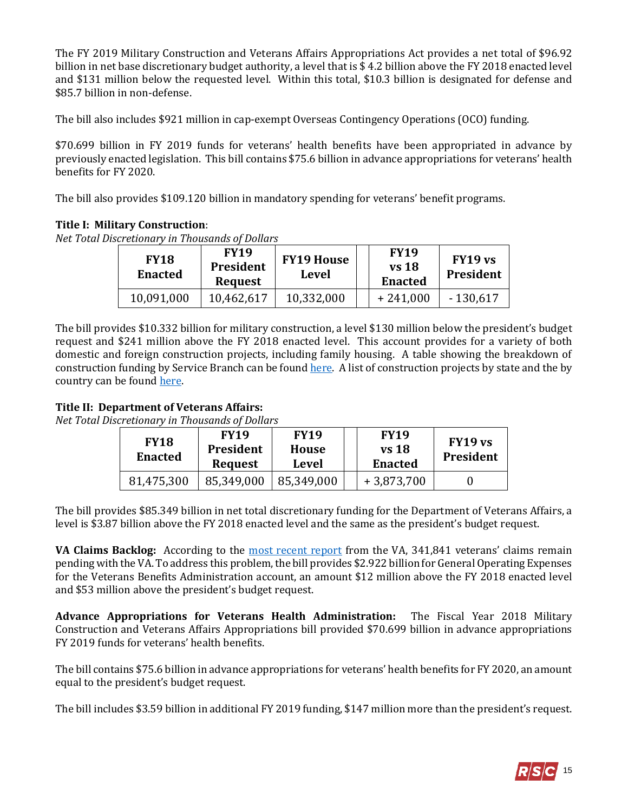The FY 2019 Military Construction and Veterans Affairs Appropriations Act provides a net total of \$96.92 billion in net base discretionary budget authority, a level that is \$ 4.2 billion above the FY 2018 enacted level and \$131 million below the requested level. Within this total, \$10.3 billion is designated for defense and \$85.7 billion in non-defense.

The bill also includes \$921 million in cap-exempt Overseas Contingency Operations (OCO) funding.

\$70.699 billion in FY 2019 funds for veterans' health benefits have been appropriated in advance by previously enacted legislation. This bill contains \$75.6 billion in advance appropriations for veterans' health benefits for FY 2020.

The bill also provides \$109.120 billion in mandatory spending for veterans' benefit programs.

## **Title I: Military Construction**:

*Net Total Discretionary in Thousands of Dollars*

| <b>FY18</b><br><b>Enacted</b> | <b>FY19</b><br>President<br><b>Request</b> | <b>FY19 House</b><br>Level | <b>FY19</b><br>$vs$ 18<br><b>Enacted</b> | FY19 vs<br><b>President</b> |
|-------------------------------|--------------------------------------------|----------------------------|------------------------------------------|-----------------------------|
| 10,091,000                    | 10,462,617                                 | 10,332,000                 | $+241,000$                               | $-130,617$                  |

The bill provides \$10.332 billion for military construction, a level \$130 million below the president's budget request and \$241 million above the FY 2018 enacted level. This account provides for a variety of both domestic and foreign construction projects, including family housing. A table showing the breakdown of construction funding by Service Branch can be foun[d here.](https://www.gpo.gov/fdsys/pkg/CRPT-115hrpt673/pdf/CRPT-115hrpt673.pdf#page=87) A list of construction projects by state and the by country can be foun[d here.](https://www.gpo.gov/fdsys/pkg/CRPT-115hrpt673/pdf/CRPT-115hrpt673.pdf#page=99)

#### **Title II: Department of Veterans Affairs:**

*Net Total Discretionary in Thousands of Dollars*

| <b>FY18</b><br><b>Enacted</b> | <b>FY19</b><br>President<br><b>Request</b> | <b>FY19</b><br>House<br>Level | <b>FY19</b><br><b>vs</b> 18<br><b>Enacted</b> | FY19 vs<br>President |
|-------------------------------|--------------------------------------------|-------------------------------|-----------------------------------------------|----------------------|
|                               |                                            |                               |                                               |                      |

The bill provides \$85.349 billion in net total discretionary funding for the Department of Veterans Affairs, a level is \$3.87 billion above the FY 2018 enacted level and the same as the president's budget request.

**VA Claims Backlog:** According to the [most recent report](http://benefits.va.gov/REPORTS/detailed_claims_data.asp) from the VA, 341,841 veterans' claims remain pending with the VA. To address this problem, the bill provides \$2.922 billion for General Operating Expenses for the Veterans Benefits Administration account, an amount \$12 million above the FY 2018 enacted level and \$53 million above the president's budget request.

**Advance Appropriations for Veterans Health Administration:** The Fiscal Year 2018 Military Construction and Veterans Affairs Appropriations bill provided \$70.699 billion in advance appropriations FY 2019 funds for veterans' health benefits.

The bill contains \$75.6 billion in advance appropriations for veterans' health benefits for FY 2020, an amount equal to the president's budget request.

The bill includes \$3.59 billion in additional FY 2019 funding, \$147 million more than the president's request.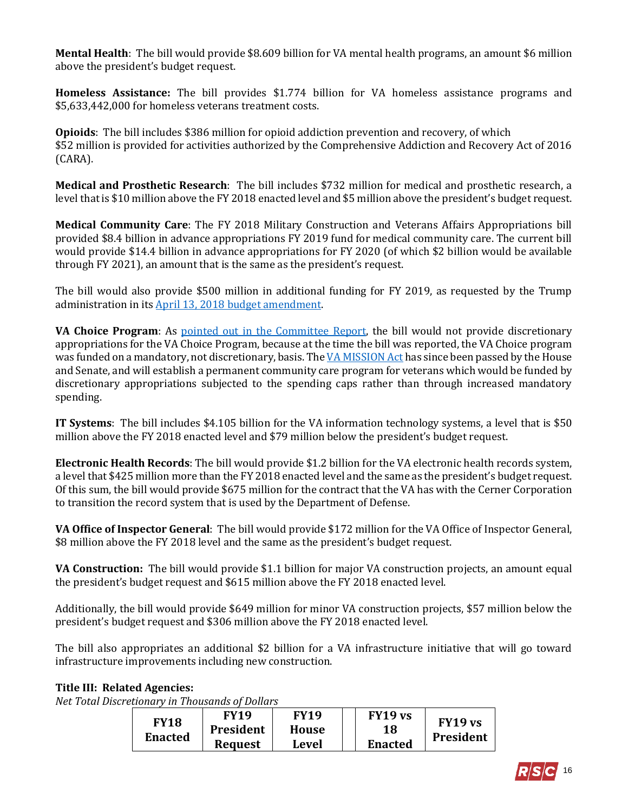**Mental Health**: The bill would provide \$8.609 billion for VA mental health programs, an amount \$6 million above the president's budget request.

**Homeless Assistance:** The bill provides \$1.774 billion for VA homeless assistance programs and \$5,633,442,000 for homeless veterans treatment costs.

**Opioids**: The bill includes \$386 million for opioid addiction prevention and recovery, of which \$52 million is provided for activities authorized by the Comprehensive Addiction and Recovery Act of 2016 (CARA).

**Medical and Prosthetic Research**: The bill includes \$732 million for medical and prosthetic research, a level that is \$10 million above the FY 2018 enacted level and \$5 million above the president's budget request.

**Medical Community Care**: The FY 2018 Military Construction and Veterans Affairs Appropriations bill provided \$8.4 billion in advance appropriations FY 2019 fund for medical community care. The current bill would provide \$14.4 billion in advance appropriations for FY 2020 (of which \$2 billion would be available through FY 2021), an amount that is the same as the president's request.

The bill would also provide \$500 million in additional funding for FY 2019, as requested by the Trump administration in its [April 13, 2018 budget amendment.](https://www.whitehouse.gov/wp-content/uploads/2018/04/FY_2019_Budget_Amendment_Package.pdf) 

**VA Choice Program**: As [pointed out in the Committee Report,](https://www.gpo.gov/fdsys/pkg/CRPT-115hrpt673/pdf/CRPT-115hrpt673.pdf#page=46) the bill would not provide discretionary appropriations for the VA Choice Program, because at the time the bill was reported, the VA Choice program was funded on a mandatory, not discretionary, basis. Th[e VA MISSION Act](https://gallery.mailchimp.com/d4254037a343b683d142111e0/files/60e808aa-85af-4c6f-8bf2-531534597f76/Legislative_Bulletin_H.R._5674_VA_MISSION_ACT_May_16_2018.01.pdf) has since been passed by the House and Senate, and will establish a permanent community care program for veterans which would be funded by discretionary appropriations subjected to the spending caps rather than through increased mandatory spending.

**IT Systems**: The bill includes \$4.105 billion for the VA information technology systems, a level that is \$50 million above the FY 2018 enacted level and \$79 million below the president's budget request.

**Electronic Health Records**: The bill would provide \$1.2 billion for the VA electronic health records system, a level that \$425 million more than the FY 2018 enacted level and the same as the president's budget request. Of this sum, the bill would provide \$675 million for the contract that the VA has with the Cerner Corporation to transition the record system that is used by the Department of Defense.

**VA Office of Inspector General**: The bill would provide \$172 million for the VA Office of Inspector General, \$8 million above the FY 2018 level and the same as the president's budget request.

**VA Construction:** The bill would provide \$1.1 billion for major VA construction projects, an amount equal the president's budget request and \$615 million above the FY 2018 enacted level.

Additionally, the bill would provide \$649 million for minor VA construction projects, \$57 million below the president's budget request and \$306 million above the FY 2018 enacted level.

The bill also appropriates an additional \$2 billion for a VA infrastructure initiative that will go toward infrastructure improvements including new construction.

#### **Title III: Related Agencies:**

| <b>FY18</b><br><b>Enacted</b> | FY19           | <b>FY19</b> | FY19 vs        | FY19 vs<br>President |
|-------------------------------|----------------|-------------|----------------|----------------------|
|                               | President      | House       | 18             |                      |
|                               | <b>Request</b> | Level       | <b>Enacted</b> |                      |

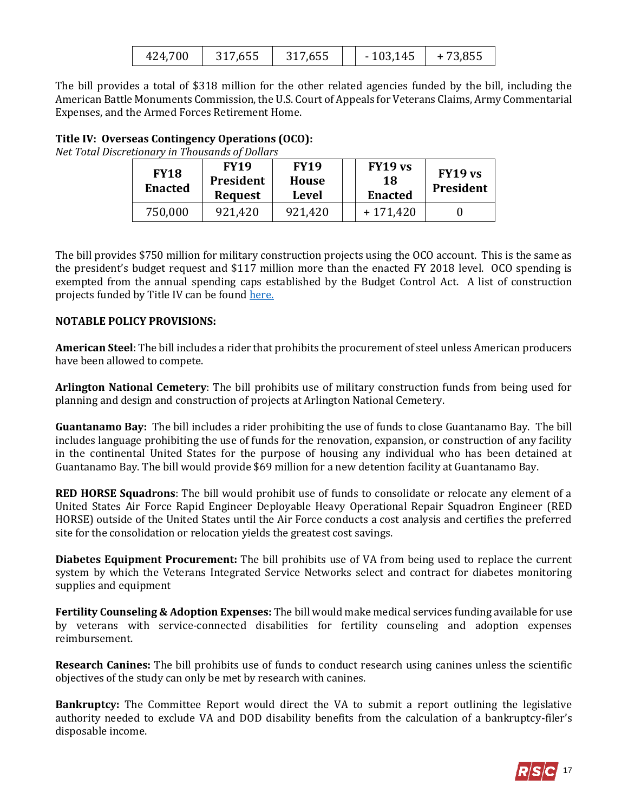| 424,700 | 317,655 | 317,655 | $-103,145$ | $+73,855$ |
|---------|---------|---------|------------|-----------|
|         |         |         |            |           |

The bill provides a total of \$318 million for the other related agencies funded by the bill, including the American Battle Monuments Commission, the U.S. Court of Appeals for Veterans Claims, Army Commentarial Expenses, and the Armed Forces Retirement Home.

#### **Title IV: Overseas Contingency Operations (OCO):**

*Net Total Discretionary in Thousands of Dollars*

| <b>FY18</b><br><b>Enacted</b> | <b>FY19</b><br>President<br><b>Request</b> | <b>FY19</b><br><b>House</b><br><b>Level</b> | FY19 vs<br>18<br><b>Enacted</b> | FY19 vs<br>President |
|-------------------------------|--------------------------------------------|---------------------------------------------|---------------------------------|----------------------|
| 750,000                       | 921,420                                    | 921,420                                     | $+171,420$                      |                      |

The bill provides \$750 million for military construction projects using the OCO account. This is the same as the president's budget request and \$117 million more than the enacted FY 2018 level. OCO spending is exempted from the annual spending caps established by the Budget Control Act. A list of construction projects funded by Title IV can be found [here.](https://www.gpo.gov/fdsys/pkg/CRPT-115hrpt673/pdf/CRPT-115hrpt673.pdf#page=111) 

#### **NOTABLE POLICY PROVISIONS:**

**American Steel**: The bill includes a rider that prohibits the procurement of steel unless American producers have been allowed to compete.

**Arlington National Cemetery**: The bill prohibits use of military construction funds from being used for planning and design and construction of projects at Arlington National Cemetery.

**Guantanamo Bay:** The bill includes a rider prohibiting the use of funds to close Guantanamo Bay. The bill includes language prohibiting the use of funds for the renovation, expansion, or construction of any facility in the continental United States for the purpose of housing any individual who has been detained at Guantanamo Bay. The bill would provide \$69 million for a new detention facility at Guantanamo Bay.

**RED HORSE Squadrons**: The bill would prohibit use of funds to consolidate or relocate any element of a United States Air Force Rapid Engineer Deployable Heavy Operational Repair Squadron Engineer (RED HORSE) outside of the United States until the Air Force conducts a cost analysis and certifies the preferred site for the consolidation or relocation yields the greatest cost savings.

**Diabetes Equipment Procurement:** The bill prohibits use of VA from being used to replace the current system by which the Veterans Integrated Service Networks select and contract for diabetes monitoring supplies and equipment

**Fertility Counseling & Adoption Expenses:** The bill would make medical services funding available for use by veterans with service-connected disabilities for fertility counseling and adoption expenses reimbursement.

**Research Canines:** The bill prohibits use of funds to conduct research using canines unless the scientific objectives of the study can only be met by research with canines.

**Bankruptcy:** The Committee Report would direct the VA to submit a report outlining the legislative authority needed to exclude VA and DOD disability benefits from the calculation of a bankruptcy-filer's disposable income.